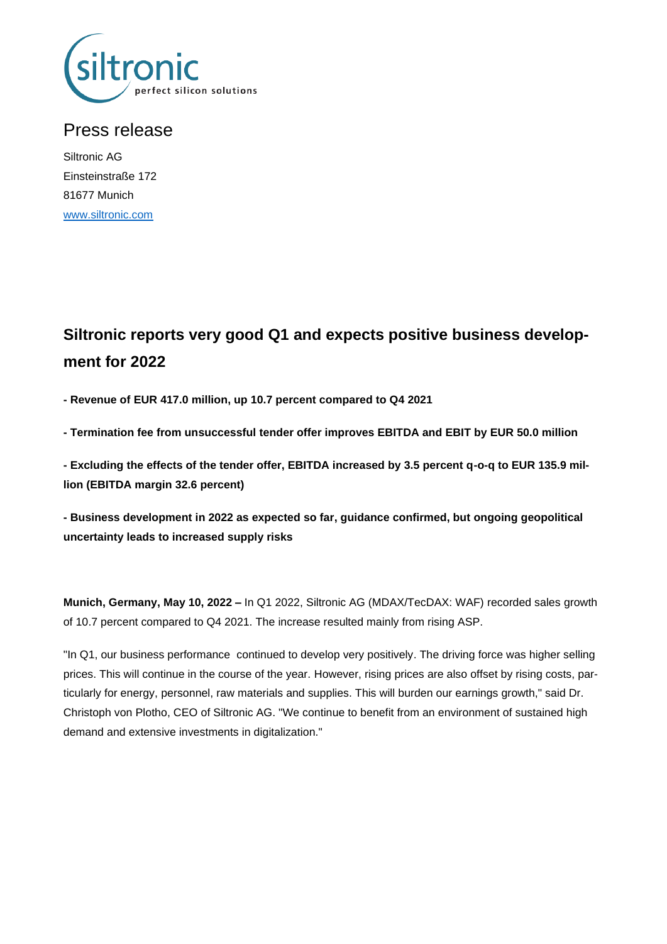

## Press release

Siltronic AG Einsteinstraße 172 81677 Munich [www.siltronic.com](http://www.siltronic.com/)

# **Siltronic reports very good Q1 and expects positive business development for 2022**

**- Revenue of EUR 417.0 million, up 10.7 percent compared to Q4 2021**

**- Termination fee from unsuccessful tender offer improves EBITDA and EBIT by EUR 50.0 million**

**- Excluding the effects of the tender offer, EBITDA increased by 3.5 percent q-o-q to EUR 135.9 million (EBITDA margin 32.6 percent)**

**- Business development in 2022 as expected so far, guidance confirmed, but ongoing geopolitical uncertainty leads to increased supply risks**

**Munich, Germany, May 10, 2022 –** In Q1 2022, Siltronic AG (MDAX/TecDAX: WAF) recorded sales growth of 10.7 percent compared to Q4 2021. The increase resulted mainly from rising ASP.

"In Q1, our business performance continued to develop very positively. The driving force was higher selling prices. This will continue in the course of the year. However, rising prices are also offset by rising costs, particularly for energy, personnel, raw materials and supplies. This will burden our earnings growth," said Dr. Christoph von Plotho, CEO of Siltronic AG. "We continue to benefit from an environment of sustained high demand and extensive investments in digitalization."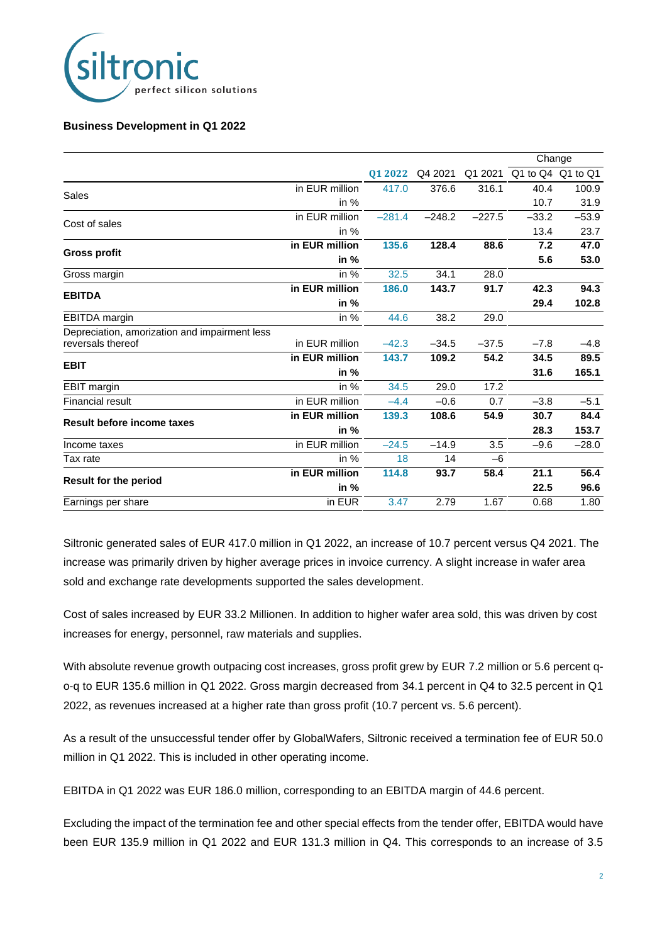

#### **Business Development in Q1 2022**

|                                               |                |          |          |          | Change                    |         |
|-----------------------------------------------|----------------|----------|----------|----------|---------------------------|---------|
|                                               |                | 01 2022  | Q4 2021  |          | Q1 2021 Q1 to Q4 Q1 to Q1 |         |
| Sales                                         | in EUR million | 417.0    | 376.6    | 316.1    | 40.4                      | 100.9   |
|                                               | in $%$         |          |          |          | 10.7                      | 31.9    |
| Cost of sales                                 | in EUR million | $-281.4$ | $-248.2$ | $-227.5$ | $-33.2$                   | $-53.9$ |
|                                               | in $%$         |          |          |          | 13.4                      | 23.7    |
| Gross profit                                  | in EUR million | 135.6    | 128.4    | 88.6     | 7.2                       | 47.0    |
|                                               | in $%$         |          |          |          | 5.6                       | 53.0    |
| Gross margin                                  | in $%$         | 32.5     | 34.1     | 28.0     |                           |         |
| <b>EBITDA</b>                                 | in EUR million | 186.0    | 143.7    | 91.7     | 42.3                      | 94.3    |
|                                               | in %           |          |          |          | 29.4                      | 102.8   |
| EBITDA margin                                 | in $%$         | 44.6     | 38.2     | 29.0     |                           |         |
| Depreciation, amorization and impairment less |                |          |          |          |                           |         |
| reversals thereof                             | in EUR million | $-42.3$  | $-34.5$  | $-37.5$  | $-7.8$                    | $-4.8$  |
| <b>EBIT</b>                                   | in EUR million | 143.7    | 109.2    | 54.2     | 34.5                      | 89.5    |
|                                               | in $%$         |          |          |          | 31.6                      | 165.1   |
| <b>EBIT</b> margin                            | in $%$         | 34.5     | 29.0     | 17.2     |                           |         |
| Financial result                              | in EUR million | $-4.4$   | $-0.6$   | 0.7      | $-3.8$                    | $-5.1$  |
| <b>Result before income taxes</b>             | in EUR million | 139.3    | 108.6    | 54.9     | 30.7                      | 84.4    |
|                                               | in $%$         |          |          |          | 28.3                      | 153.7   |
| Income taxes                                  | in EUR million | $-24.5$  | $-14.9$  | 3.5      | $-9.6$                    | $-28.0$ |
| Tax rate                                      | in $%$         | 18       | 14       | $-6$     |                           |         |
| <b>Result for the period</b>                  | in EUR million | 114.8    | 93.7     | 58.4     | 21.1                      | 56.4    |
|                                               | in $%$         |          |          |          | 22.5                      | 96.6    |
| Earnings per share                            | in EUR         | 3.47     | 2.79     | 1.67     | 0.68                      | 1.80    |

Siltronic generated sales of EUR 417.0 million in Q1 2022, an increase of 10.7 percent versus Q4 2021. The increase was primarily driven by higher average prices in invoice currency. A slight increase in wafer area sold and exchange rate developments supported the sales development.

Cost of sales increased by EUR 33.2 Millionen. In addition to higher wafer area sold, this was driven by cost increases for energy, personnel, raw materials and supplies.

With absolute revenue growth outpacing cost increases, gross profit grew by EUR 7.2 million or 5.6 percent qo-q to EUR 135.6 million in Q1 2022. Gross margin decreased from 34.1 percent in Q4 to 32.5 percent in Q1 2022, as revenues increased at a higher rate than gross profit (10.7 percent vs. 5.6 percent).

As a result of the unsuccessful tender offer by GlobalWafers, Siltronic received a termination fee of EUR 50.0 million in Q1 2022. This is included in other operating income.

EBITDA in Q1 2022 was EUR 186.0 million, corresponding to an EBITDA margin of 44.6 percent.

Excluding the impact of the termination fee and other special effects from the tender offer, EBITDA would have been EUR 135.9 million in Q1 2022 and EUR 131.3 million in Q4. This corresponds to an increase of 3.5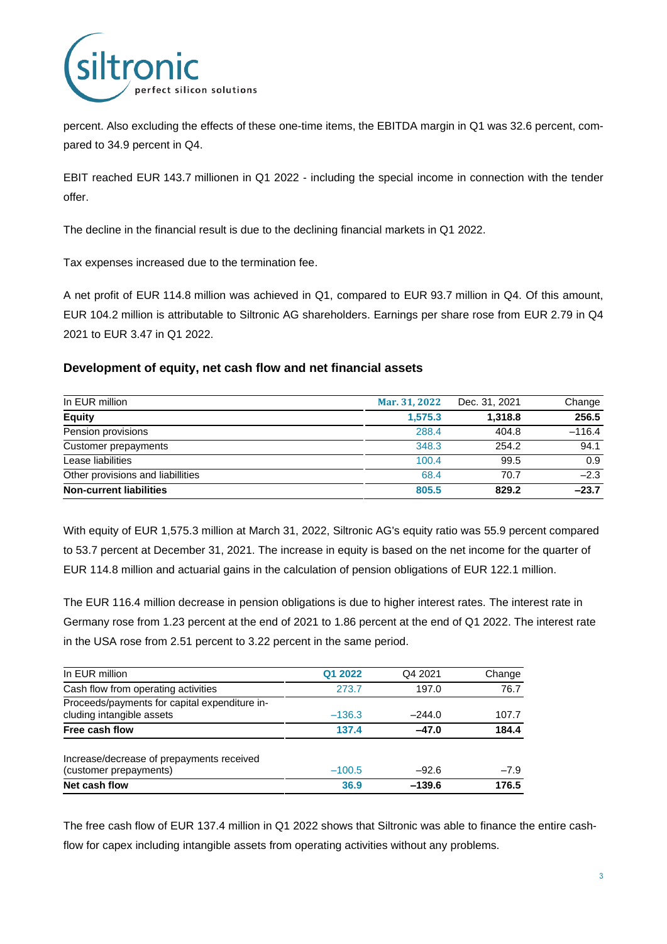

percent. Also excluding the effects of these one-time items, the EBITDA margin in Q1 was 32.6 percent, compared to 34.9 percent in Q4.

EBIT reached EUR 143.7 millionen in Q1 2022 - including the special income in connection with the tender offer.

The decline in the financial result is due to the declining financial markets in Q1 2022.

Tax expenses increased due to the termination fee.

A net profit of EUR 114.8 million was achieved in Q1, compared to EUR 93.7 million in Q4. Of this amount, EUR 104.2 million is attributable to Siltronic AG shareholders. Earnings per share rose from EUR 2.79 in Q4 2021 to EUR 3.47 in Q1 2022.

#### **Development of equity, net cash flow and net financial assets**

| In EUR million                    | Mar. 31, 2022 | Dec. 31, 2021 | Change   |
|-----------------------------------|---------------|---------------|----------|
| <b>Equity</b>                     | 1.575.3       | 1.318.8       | 256.5    |
| Pension provisions                | 288.4         | 404.8         | $-116.4$ |
| Customer prepayments              | 348.3         | 254.2         | 94.1     |
| Lease liabilities                 | 100.4         | 99.5          | 0.9      |
| Other provisions and liabillities | 68.4          | 70.7          | $-2.3$   |
| <b>Non-current liabilities</b>    | 805.5         | 829.2         | $-23.7$  |

With equity of EUR 1,575.3 million at March 31, 2022, Siltronic AG's equity ratio was 55.9 percent compared to 53.7 percent at December 31, 2021. The increase in equity is based on the net income for the quarter of EUR 114.8 million and actuarial gains in the calculation of pension obligations of EUR 122.1 million.

The EUR 116.4 million decrease in pension obligations is due to higher interest rates. The interest rate in Germany rose from 1.23 percent at the end of 2021 to 1.86 percent at the end of Q1 2022. The interest rate in the USA rose from 2.51 percent to 3.22 percent in the same period.

| In EUR million                                                             | Q1 2022  | Q4 2021  | Change |
|----------------------------------------------------------------------------|----------|----------|--------|
| Cash flow from operating activities                                        | 273.7    | 197.0    | 76.7   |
| Proceeds/payments for capital expenditure in-<br>cluding intangible assets | $-136.3$ | $-244.0$ | 107.7  |
| Free cash flow                                                             | 137.4    | $-47.0$  | 184.4  |
| Increase/decrease of prepayments received<br>(customer prepayments)        | $-100.5$ | $-92.6$  | $-7.9$ |
| Net cash flow                                                              | 36.9     | $-139.6$ | 176.5  |

The free cash flow of EUR 137.4 million in Q1 2022 shows that Siltronic was able to finance the entire cashflow for capex including intangible assets from operating activities without any problems.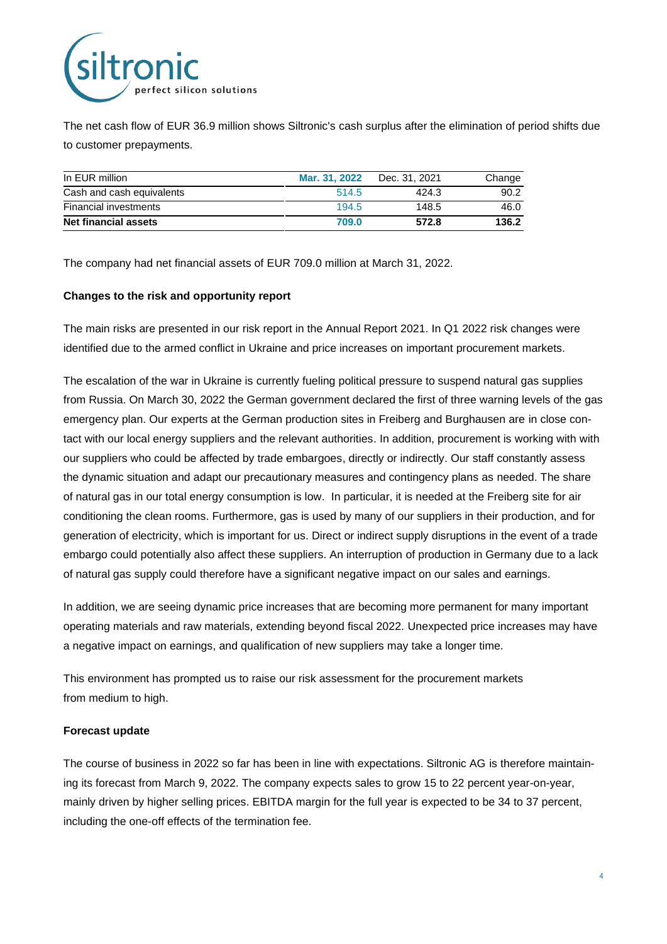

The net cash flow of EUR 36.9 million shows Siltronic's cash surplus after the elimination of period shifts due to customer prepayments.

| In EUR million            | Mar. 31, 2022 | Dec. 31, 2021 | Change |
|---------------------------|---------------|---------------|--------|
| Cash and cash equivalents | 514.5         | 424.3         | 90.2   |
| Financial investments     | 194.5         | 148.5         | 46.0   |
| Net financial assets      | 709.0         | 572.8         | 136.2  |

The company had net financial assets of EUR 709.0 million at March 31, 2022.

#### **Changes to the risk and opportunity report**

The main risks are presented in our risk report in the Annual Report 2021. In Q1 2022 risk changes were identified due to the armed conflict in Ukraine and price increases on important procurement markets.

The escalation of the war in Ukraine is currently fueling political pressure to suspend natural gas supplies from Russia. On March 30, 2022 the German government declared the first of three warning levels of the gas emergency plan. Our experts at the German production sites in Freiberg and Burghausen are in close contact with our local energy suppliers and the relevant authorities. In addition, procurement is working with with our suppliers who could be affected by trade embargoes, directly or indirectly. Our staff constantly assess the dynamic situation and adapt our precautionary measures and contingency plans as needed. The share of natural gas in our total energy consumption is low. In particular, it is needed at the Freiberg site for air conditioning the clean rooms. Furthermore, gas is used by many of our suppliers in their production, and for generation of electricity, which is important for us. Direct or indirect supply disruptions in the event of a trade embargo could potentially also affect these suppliers. An interruption of production in Germany due to a lack of natural gas supply could therefore have a significant negative impact on our sales and earnings.

In addition, we are seeing dynamic price increases that are becoming more permanent for many important operating materials and raw materials, extending beyond fiscal 2022. Unexpected price increases may have a negative impact on earnings, and qualification of new suppliers may take a longer time.

This environment has prompted us to raise our risk assessment for the procurement markets from medium to high.

#### **Forecast update**

The course of business in 2022 so far has been in line with expectations. Siltronic AG is therefore maintaining its forecast from March 9, 2022. The company expects sales to grow 15 to 22 percent year-on-year, mainly driven by higher selling prices. EBITDA margin for the full year is expected to be 34 to 37 percent, including the one-off effects of the termination fee.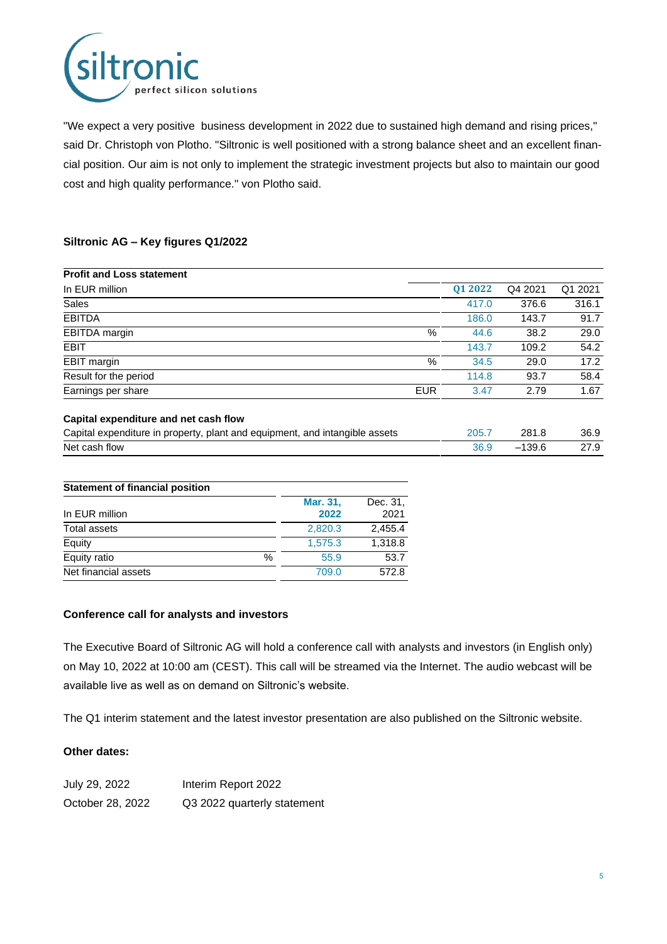

"We expect a very positive business development in 2022 due to sustained high demand and rising prices," said Dr. Christoph von Plotho. "Siltronic is well positioned with a strong balance sheet and an excellent financial position. Our aim is not only to implement the strategic investment projects but also to maintain our good cost and high quality performance." von Plotho said.

#### **Siltronic AG – Key figures Q1/2022**

| <b>Profit and Loss statement</b>      |            |         |         |         |
|---------------------------------------|------------|---------|---------|---------|
| In EUR million                        |            | 01 2022 | Q4 2021 | Q1 2021 |
| Sales                                 |            | 417.0   | 376.6   | 316.1   |
| <b>EBITDA</b>                         |            | 186.0   | 143.7   | 91.7    |
| EBITDA margin                         | %          | 44.6    | 38.2    | 29.0    |
| <b>EBIT</b>                           |            | 143.7   | 109.2   | 54.2    |
| EBIT margin                           | %          | 34.5    | 29.0    | 17.2    |
| Result for the period                 |            | 114.8   | 93.7    | 58.4    |
| Earnings per share                    | <b>EUR</b> | 3.47    | 2.79    | 1.67    |
|                                       |            |         |         |         |
| Capital expenditure and net cash flow |            |         |         |         |

| Capital expenditure in property, plant and equipment, and intangible assets | 205.7 | 281.8  | 36.9 |
|-----------------------------------------------------------------------------|-------|--------|------|
| Net cash flow                                                               | 36.9  | -139.6 | 27.9 |

| <b>Statement of financial position</b> |      |                  |                  |
|----------------------------------------|------|------------------|------------------|
| In EUR million                         |      | Mar. 31,<br>2022 | Dec. 31,<br>2021 |
| <b>Total assets</b>                    |      | 2,820.3          | 2.455.4          |
| Equity                                 |      | 1,575.3          | 1,318.8          |
| Equity ratio                           | $\%$ | 55.9             | 53.7             |
| Net financial assets                   |      | 709.0            | 572.8            |

#### **Conference call for analysts and investors**

The Executive Board of Siltronic AG will hold a conference call with analysts and investors (in English only) on May 10, 2022 at 10:00 am (CEST). This call will be streamed via the Internet. The audio webcast will be available live as well as on demand on Siltronic's website.

The Q1 interim statement and the latest investor presentation are also published on the Siltronic website.

#### **Other dates:**

| July 29, 2022    | Interim Report 2022         |
|------------------|-----------------------------|
| October 28, 2022 | Q3 2022 quarterly statement |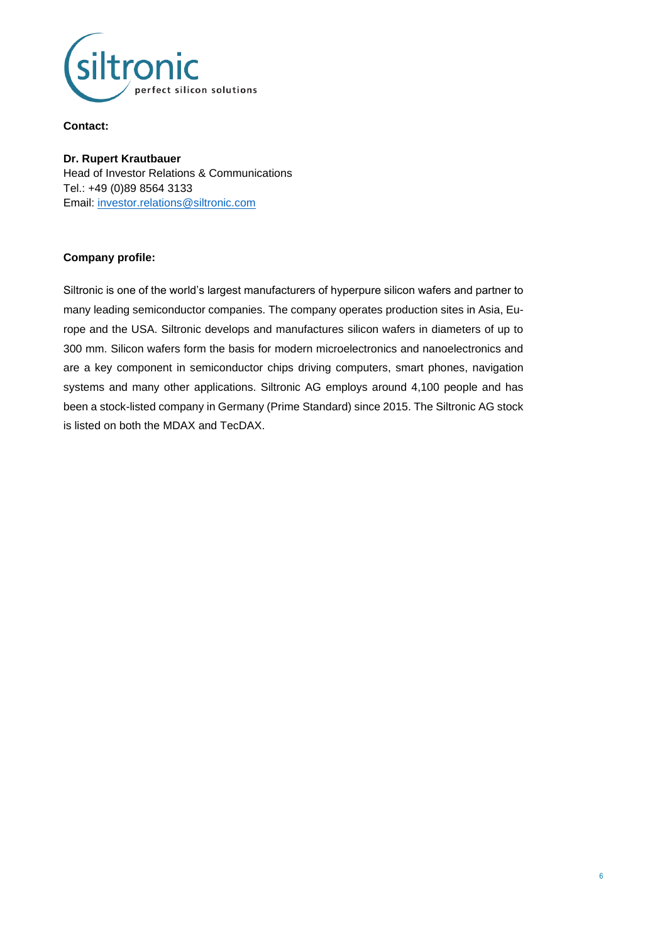

#### **Contact:**

**Dr. Rupert Krautbauer** Head of Investor Relations & Communications Tel.: +49 (0)89 8564 3133 Email: [investor.relations@siltronic.com](mailto:investor.relations@siltronic.com)

#### **Company profile:**

Siltronic is one of the world's largest manufacturers of hyperpure silicon wafers and partner to many leading semiconductor companies. The company operates production sites in Asia, Europe and the USA. Siltronic develops and manufactures silicon wafers in diameters of up to 300 mm. Silicon wafers form the basis for modern microelectronics and nanoelectronics and are a key component in semiconductor chips driving computers, smart phones, navigation systems and many other applications. Siltronic AG employs around 4,100 people and has been a stock-listed company in Germany (Prime Standard) since 2015. The Siltronic AG stock is listed on both the MDAX and TecDAX.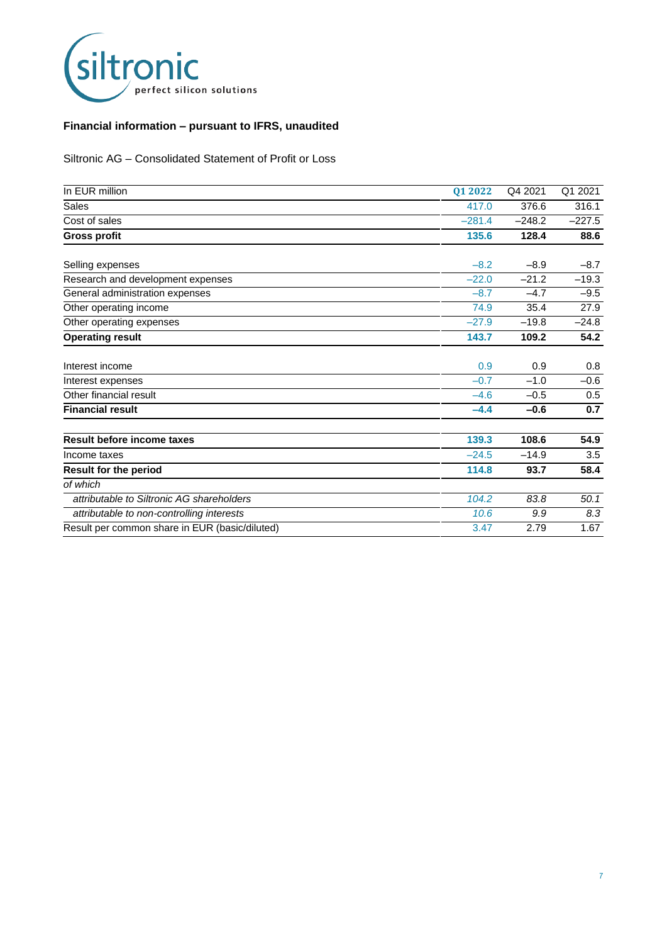

### **Financial information – pursuant to IFRS, unaudited**

Siltronic AG – Consolidated Statement of Profit or Loss

| In EUR million                                 | 01 2022  | Q4 2021  | Q1 2021  |
|------------------------------------------------|----------|----------|----------|
| <b>Sales</b>                                   | 417.0    | 376.6    | 316.1    |
| Cost of sales                                  | $-281.4$ | $-248.2$ | $-227.5$ |
| <b>Gross profit</b>                            | 135.6    | 128.4    | 88.6     |
| Selling expenses                               | $-8.2$   | $-8.9$   | $-8.7$   |
| Research and development expenses              | $-22.0$  | $-21.2$  | $-19.3$  |
| General administration expenses                | $-8.7$   | $-4.7$   | $-9.5$   |
| Other operating income                         | 74.9     | 35.4     | 27.9     |
| Other operating expenses                       | $-27.9$  | $-19.8$  | $-24.8$  |
| <b>Operating result</b>                        | 143.7    | 109.2    | 54.2     |
| Interest income                                | 0.9      | 0.9      | 0.8      |
| Interest expenses                              | $-0.7$   | $-1.0$   | $-0.6$   |
| Other financial result                         | $-4.6$   | $-0.5$   | 0.5      |
| <b>Financial result</b>                        | $-4.4$   | $-0.6$   | 0.7      |
| Result before income taxes                     | 139.3    | 108.6    | 54.9     |
| Income taxes                                   | $-24.5$  | $-14.9$  | 3.5      |
| <b>Result for the period</b>                   | 114.8    | 93.7     | 58.4     |
| of which                                       |          |          |          |
| attributable to Siltronic AG shareholders      | 104.2    | 83.8     | 50.1     |
| attributable to non-controlling interests      | 10.6     | 9.9      | 8.3      |
| Result per common share in EUR (basic/diluted) | 3.47     | 2.79     | 1.67     |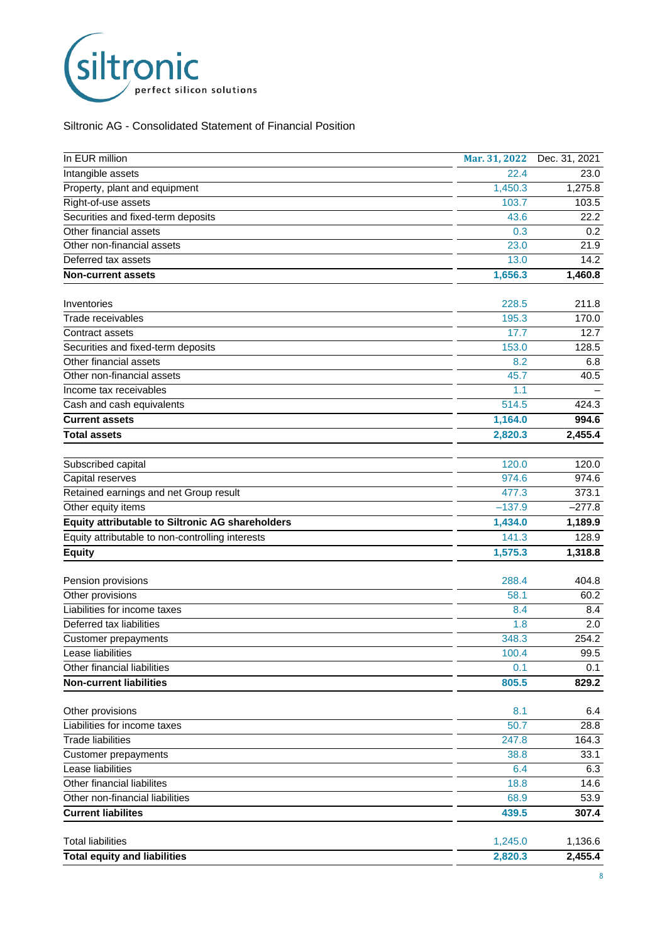

Siltronic AG - Consolidated Statement of Financial Position

| In EUR million                                   | Mar. 31, 2022 | Dec. 31, 2021        |
|--------------------------------------------------|---------------|----------------------|
| Intangible assets                                | 22.4          | 23.0                 |
| Property, plant and equipment                    | 1,450.3       | 1,275.8              |
| Right-of-use assets                              | 103.7         | 103.5                |
| Securities and fixed-term deposits               | 43.6          | 22.2                 |
| Other financial assets                           | 0.3           | 0.2                  |
| Other non-financial assets                       | 23.0          | 21.9                 |
| Deferred tax assets                              | 13.0          | 14.2                 |
| <b>Non-current assets</b>                        | 1,656.3       | 1,460.8              |
|                                                  |               |                      |
| Inventories                                      | 228.5         | 211.8                |
| Trade receivables                                | 195.3         | 170.0                |
| Contract assets                                  | 17.7          | 12.7                 |
| Securities and fixed-term deposits               | 153.0         | 128.5                |
| Other financial assets                           | 8.2           | 6.8                  |
| Other non-financial assets                       | 45.7          | 40.5                 |
| Income tax receivables                           | 1.1           |                      |
| Cash and cash equivalents                        | 514.5         | 424.3                |
| <b>Current assets</b>                            | 1,164.0       | 994.6                |
| Total assets                                     | 2,820.3       | $2,455.\overline{4}$ |
| Subscribed capital                               | 120.0         | 120.0                |
| Capital reserves                                 | 974.6         | 974.6                |
| Retained earnings and net Group result           | 477.3         | 373.1                |
| Other equity items                               | $-137.9$      | $-277.8$             |
| Equity attributable to Siltronic AG shareholders | 1,434.0       | 1,189.9              |
| Equity attributable to non-controlling interests | 141.3         | 128.9                |
| <b>Equity</b>                                    | 1,575.3       | 1,318.8              |
|                                                  |               |                      |
| Pension provisions                               | 288.4         | 404.8                |
| Other provisions                                 | 58.1          | 60.2                 |
| Liabilities for income taxes                     | 8.4           | 8.4                  |
| Deferred tax liabilities                         | 1.8           | 2.0                  |
| Customer prepayments                             | 348.3         | 254.2                |
| Lease liabilities                                | 100.4         | 99.5                 |
| Other financial liabilities                      | 0.1           | 0.1                  |
| <b>Non-current liabilities</b>                   | 805.5         | 829.2                |
| Other provisions                                 | 8.1           | 6.4                  |
| Liabilities for income taxes                     | 50.7          | 28.8                 |
| <b>Trade liabilities</b>                         | 247.8         | 164.3                |
| Customer prepayments                             | 38.8          | 33.1                 |
| Lease liabilities                                | 6.4           | 6.3                  |
| Other financial liabilites                       | 18.8          | 14.6                 |
| Other non-financial liabilities                  | 68.9          | 53.9                 |
|                                                  |               |                      |
| <b>Current liabilites</b>                        | 439.5         | 307.4                |
| <b>Total liabilities</b>                         | 1,245.0       | 1,136.6              |
| <b>Total equity and liabilities</b>              | 2,820.3       | 2,455.4              |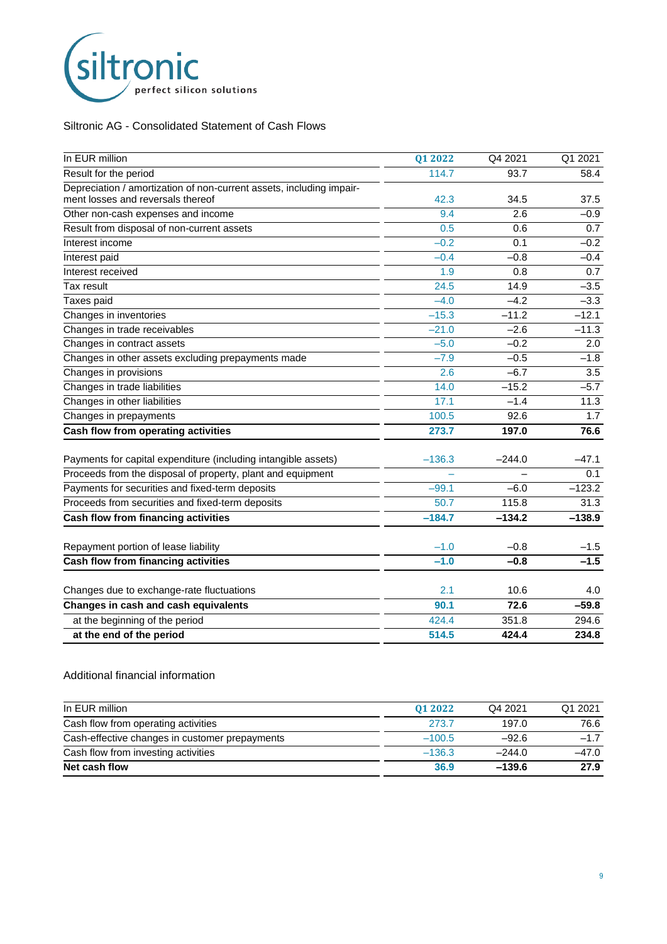

#### Siltronic AG - Consolidated Statement of Cash Flows

| In EUR million                                                       | Q1 2022  | Q4 2021  | Q1 2021  |
|----------------------------------------------------------------------|----------|----------|----------|
| Result for the period                                                | 114.7    | 93.7     | 58.4     |
| Depreciation / amortization of non-current assets, including impair- |          |          |          |
| ment losses and reversals thereof                                    | 42.3     | 34.5     | 37.5     |
| Other non-cash expenses and income                                   | 9.4      | 2.6      | $-0.9$   |
| Result from disposal of non-current assets                           | 0.5      | 0.6      | 0.7      |
| Interest income                                                      | $-0.2$   | 0.1      | $-0.2$   |
| Interest paid                                                        | $-0.4$   | $-0.8$   | $-0.4$   |
| Interest received                                                    | 1.9      | 0.8      | 0.7      |
| Tax result                                                           | 24.5     | 14.9     | $-3.5$   |
| Taxes paid                                                           | $-4.0$   | $-4.2$   | $-3.3$   |
| Changes in inventories                                               | $-15.3$  | $-11.2$  | $-12.1$  |
| Changes in trade receivables                                         | $-21.0$  | $-2.6$   | $-11.3$  |
| Changes in contract assets                                           | $-5.0$   | $-0.2$   | 2.0      |
| Changes in other assets excluding prepayments made                   | $-7.9$   | $-0.5$   | $-1.8$   |
| Changes in provisions                                                | 2.6      | $-6.7$   | 3.5      |
| Changes in trade liabilities                                         | 14.0     | $-15.2$  | $-5.7$   |
| Changes in other liabilities                                         | 17.1     | $-1.4$   | 11.3     |
| Changes in prepayments                                               | 100.5    | 92.6     | 1.7      |
| Cash flow from operating activities                                  | 273.7    | 197.0    | 76.6     |
| Payments for capital expenditure (including intangible assets)       | $-136.3$ | $-244.0$ | $-47.1$  |
| Proceeds from the disposal of property, plant and equipment          |          |          | 0.1      |
| Payments for securities and fixed-term deposits                      | $-99.1$  | $-6.0$   | $-123.2$ |
| Proceeds from securities and fixed-term deposits                     | 50.7     | 115.8    | 31.3     |
| Cash flow from financing activities                                  | $-184.7$ | $-134.2$ | $-138.9$ |
|                                                                      |          |          |          |
| Repayment portion of lease liability                                 | $-1.0$   | $-0.8$   | $-1.5$   |
| Cash flow from financing activities                                  | $-1.0$   | $-0.8$   | $-1.5$   |
| Changes due to exchange-rate fluctuations                            | 2.1      | 10.6     | 4.0      |
| Changes in cash and cash equivalents                                 | 90.1     | 72.6     | $-59.8$  |
| at the beginning of the period                                       | 424.4    | 351.8    | 294.6    |
| at the end of the period                                             | 514.5    | 424.4    | 234.8    |

#### Additional financial information

| In EUR million                                 | 01 2022  | Q4 2021  | Q1 2021 |
|------------------------------------------------|----------|----------|---------|
| Cash flow from operating activities            | 273.7    | 197.0    | 76.6    |
| Cash-effective changes in customer prepayments | $-100.5$ | $-92.6$  | $-17$   |
| Cash flow from investing activities            | $-136.3$ | $-244.0$ | $-47.0$ |
| Net cash flow                                  | 36.9     | $-139.6$ | 27.9    |